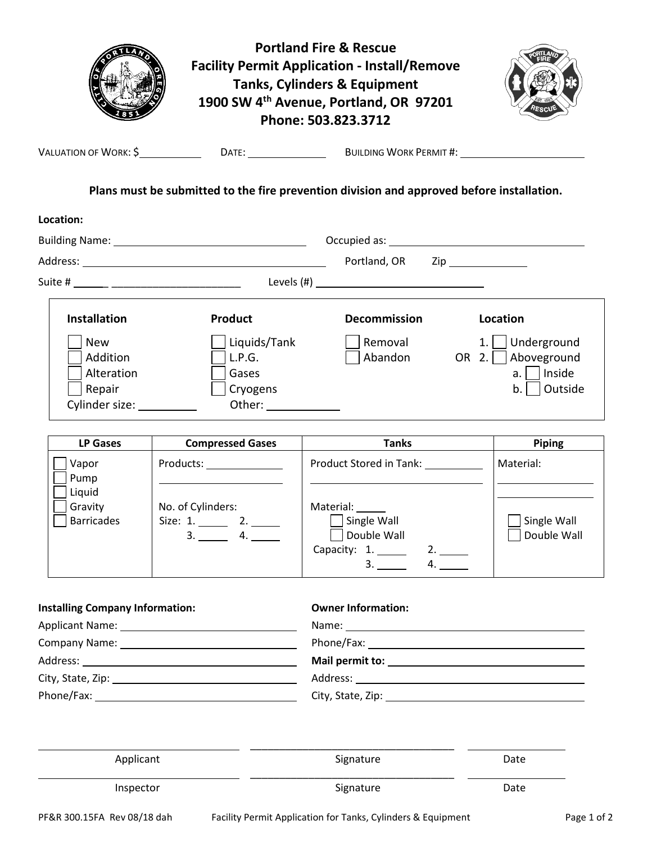|                                                                       |                                                                                                                                                                                                                                                                                                                        | <b>Portland Fire &amp; Rescue</b><br><b>Facility Permit Application - Install/Remove</b><br><b>Tanks, Cylinders &amp; Equipment</b><br>1900 SW 4 <sup>th</sup> Avenue, Portland, OR 97201<br>Phone: 503.823.3712 |  |                                                                             |
|-----------------------------------------------------------------------|------------------------------------------------------------------------------------------------------------------------------------------------------------------------------------------------------------------------------------------------------------------------------------------------------------------------|------------------------------------------------------------------------------------------------------------------------------------------------------------------------------------------------------------------|--|-----------------------------------------------------------------------------|
|                                                                       |                                                                                                                                                                                                                                                                                                                        |                                                                                                                                                                                                                  |  |                                                                             |
|                                                                       |                                                                                                                                                                                                                                                                                                                        | Plans must be submitted to the fire prevention division and approved before installation.                                                                                                                        |  |                                                                             |
| Location:                                                             |                                                                                                                                                                                                                                                                                                                        |                                                                                                                                                                                                                  |  |                                                                             |
|                                                                       |                                                                                                                                                                                                                                                                                                                        |                                                                                                                                                                                                                  |  |                                                                             |
|                                                                       |                                                                                                                                                                                                                                                                                                                        | Portland, OR Zip                                                                                                                                                                                                 |  |                                                                             |
|                                                                       |                                                                                                                                                                                                                                                                                                                        |                                                                                                                                                                                                                  |  |                                                                             |
| <b>Installation</b>                                                   | <b>Product</b>                                                                                                                                                                                                                                                                                                         | <b>Decommission</b>                                                                                                                                                                                              |  | Location                                                                    |
| <b>New</b><br>Addition<br>Alteration<br>Repair<br>Cylinder size: 1997 | Liquids/Tank<br>L.P.G.<br>Gases<br>Cryogens<br>Other: _____________                                                                                                                                                                                                                                                    | Removal<br>Abandon                                                                                                                                                                                               |  | $1.$ Underground<br>OR $2.$   Aboveground<br>Inside<br>a.l<br>Outside<br>b. |
| <b>LP Gases</b>                                                       | <b>Compressed Gases</b>                                                                                                                                                                                                                                                                                                | <b>Tanks</b>                                                                                                                                                                                                     |  | Piping                                                                      |
| Vapor<br>Pump<br>Liquid<br>Gravity<br><b>Barricades</b>               | Products: ______________<br>the control of the control of the control of the control of the control of the control of the control of the control of the control of the control of the control of the control of the control of the control of the control<br>No. of Cylinders:<br>Size: 1. ________ 2. ______<br>3. 4. | Product Stored in Tank: 1997<br>Material:<br>Single Wall<br>Double Wall<br>Capacity: $1.$<br>2.<br>4.<br>3.                                                                                                      |  | Material:<br>Single Wall<br>Double Wall                                     |
| <b>Installing Company Information:</b>                                |                                                                                                                                                                                                                                                                                                                        | <b>Owner Information:</b>                                                                                                                                                                                        |  |                                                                             |
|                                                                       |                                                                                                                                                                                                                                                                                                                        | Name: Name:                                                                                                                                                                                                      |  |                                                                             |
|                                                                       |                                                                                                                                                                                                                                                                                                                        |                                                                                                                                                                                                                  |  |                                                                             |
|                                                                       |                                                                                                                                                                                                                                                                                                                        |                                                                                                                                                                                                                  |  |                                                                             |
|                                                                       |                                                                                                                                                                                                                                                                                                                        | City, State, Zip: 1988. 2008. 2014. 2015. 2016. 2017. 2018. 2019. 2016. 2017. 2018. 2019. 2017. 2018. 2019. 20                                                                                                   |  |                                                                             |
| Applicant                                                             |                                                                                                                                                                                                                                                                                                                        | Signature                                                                                                                                                                                                        |  | Date                                                                        |
| Inspector                                                             |                                                                                                                                                                                                                                                                                                                        | Signature                                                                                                                                                                                                        |  | Date                                                                        |
| PF&R 300.15FA Rev 08/18 dah                                           |                                                                                                                                                                                                                                                                                                                        | Facility Permit Application for Tanks, Cylinders & Equipment                                                                                                                                                     |  | Page 1 of 2                                                                 |